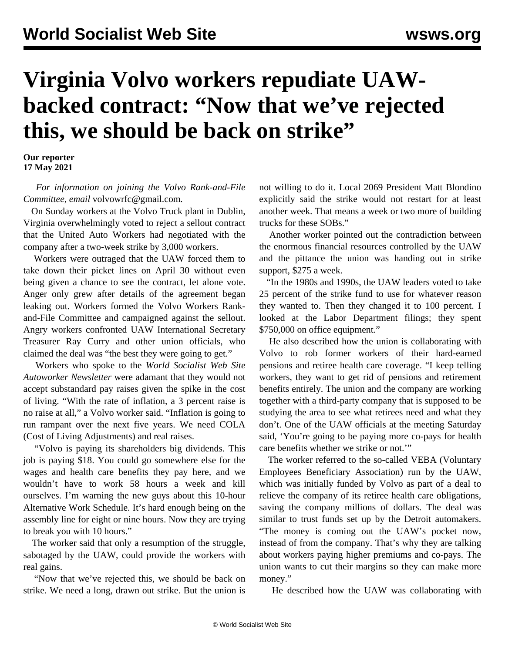## **Virginia Volvo workers repudiate UAWbacked contract: "Now that we've rejected this, we should be back on strike"**

**Our reporter 17 May 2021**

 *For information on joining the Volvo Rank-and-File Committee, email* [volvowrfc@gmail.com](mailto:volvowrfc@gmail.com)*.*

 On Sunday workers at the Volvo Truck plant in Dublin, Virginia overwhelmingly voted to reject a sellout contract that the United Auto Workers had negotiated with the company after a two-week strike by 3,000 workers.

 Workers were outraged that the UAW forced them to take down their picket lines on April 30 without even being given a chance to see the contract, let alone vote. Anger only grew after details of the agreement began leaking out. Workers formed the Volvo Workers Rankand-File Committee and campaigned against the sellout. Angry workers confronted UAW International Secretary Treasurer Ray Curry and other union officials, who claimed the deal was "the best they were going to get."

 Workers who spoke to the *World Socialist Web Site Autoworker Newsletter* were adamant that they would not accept substandard pay raises given the spike in the cost of living. "With the rate of inflation, a 3 percent raise is no raise at all," a Volvo worker said. "Inflation is going to run rampant over the next five years. We need COLA (Cost of Living Adjustments) and real raises.

 "Volvo is paying its shareholders big dividends. This job is paying \$18. You could go somewhere else for the wages and health care benefits they pay here, and we wouldn't have to work 58 hours a week and kill ourselves. I'm warning the new guys about this 10-hour Alternative Work Schedule. It's hard enough being on the assembly line for eight or nine hours. Now they are trying to break you with 10 hours."

 The worker said that only a resumption of the struggle, sabotaged by the UAW, could provide the workers with real gains.

 "Now that we've rejected this, we should be back on strike. We need a long, drawn out strike. But the union is not willing to do it. Local 2069 President Matt Blondino explicitly said the strike would not restart for at least another week. That means a week or two more of building trucks for these SOBs."

 Another worker pointed out the contradiction between the enormous financial resources controlled by the UAW and the pittance the union was handing out in strike support, \$275 a week.

 "In the 1980s and 1990s, the UAW leaders voted to take 25 percent of the strike fund to use for whatever reason they wanted to. Then they changed it to 100 percent. I looked at the Labor Department filings; they spent \$750,000 on office equipment."

 He also described how the union is collaborating with Volvo to rob former workers of their hard-earned pensions and retiree health care coverage. "I keep telling workers, they want to get rid of pensions and retirement benefits entirely. The union and the company are working together with a third-party company that is supposed to be studying the area to see what retirees need and what they don't. One of the UAW officials at the meeting Saturday said, 'You're going to be paying more co-pays for health care benefits whether we strike or not.'"

 The worker referred to the so-called VEBA (Voluntary Employees Beneficiary Association) run by the UAW, which was initially funded by Volvo as part of a deal to relieve the company of its retiree health care obligations, saving the company millions of dollars. The deal was similar to trust funds set up by the Detroit automakers. "The money is coming out the UAW's pocket now, instead of from the company. That's why they are talking about workers paying higher premiums and co-pays. The union wants to cut their margins so they can make more money."

He described how the UAW was collaborating with